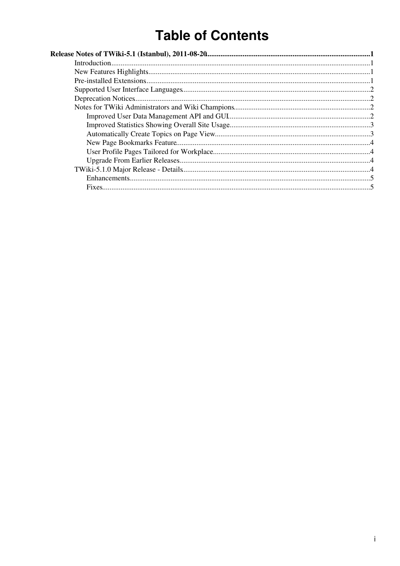# **Table of Contents**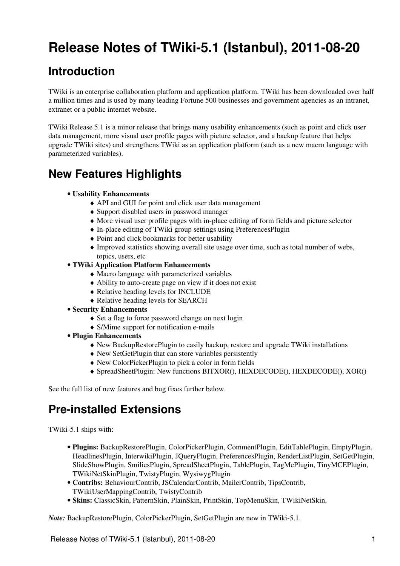# <span id="page-1-0"></span>**Release Notes of TWiki-5.1 (Istanbul), 2011-08-20**

## <span id="page-1-1"></span>**Introduction**

TWiki is an enterprise collaboration platform and application platform. TWiki has been downloaded over half a million times and is used by many leading Fortune 500 businesses and government agencies as an intranet, extranet or a public internet website.

TWiki Release 5.1 is a minor release that brings many usability enhancements (such as point and click user data management, more visual user profile pages with picture selector, and a backup feature that helps upgrade TWiki sites) and strengthens TWiki as an application platform (such as a new macro language with parameterized variables).

## <span id="page-1-2"></span>**New Features Highlights**

- **Usability Enhancements**
	- ♦ API and GUI for point and click user data management
	- ♦ Support disabled users in password manager
	- ♦ More visual user profile pages with in-place editing of form fields and picture selector
	- ♦ In-place editing of TWiki group settings using PreferencesPlugin
	- ♦ Point and click bookmarks for better usability
	- Improved statistics showing overall site usage over time, such as total number of webs, ♦ topics, users, etc
- **TWiki Application Platform Enhancements**
	- ♦ Macro language with parameterized variables
	- ♦ Ability to auto-create page on view if it does not exist
	- ♦ Relative heading levels for INCLUDE
	- ♦ Relative heading levels for SEARCH
- **Security Enhancements**
	- ♦ Set a flag to force password change on next login
	- ♦ S/Mime support for notification e-mails
- **Plugin Enhancements**
	- ♦ New [BackupRestorePlugin](https://wiki-igi.cnaf.infn.it/twiki/bin/view/TWiki/BackupRestorePlugin) to easily backup, restore and upgrade TWiki installations
	- ♦ New [SetGetPlugin](https://wiki-igi.cnaf.infn.it/twiki/bin/view/TWiki/SetGetPlugin) that can store variables persistently
	- ♦ New [ColorPickerPlugin](https://wiki-igi.cnaf.infn.it/twiki/bin/view/TWiki/ColorPickerPlugin) to pick a color in form fields
	- ♦ [SpreadSheetPlugin:](https://wiki-igi.cnaf.infn.it/twiki/bin/view/TWiki/SpreadSheetPlugin) New functions BITXOR(), HEXDECODE(), HEXDECODE(), XOR()

See the full list of new features and bug fixes further below.

## <span id="page-1-3"></span>**Pre-installed Extensions**

TWiki-5.1 ships with:

- **Plugins:** [BackupRestorePlugin](https://wiki-igi.cnaf.infn.it/twiki/bin/view/TWiki/BackupRestorePlugin), [ColorPickerPlugin,](https://wiki-igi.cnaf.infn.it/twiki/bin/view/TWiki/ColorPickerPlugin) [CommentPlugin](https://wiki-igi.cnaf.infn.it/twiki/bin/view/TWiki/CommentPlugin), [EditTablePlugin,](https://wiki-igi.cnaf.infn.it/twiki/bin/view/TWiki/EditTablePlugin) [EmptyPlugin](https://wiki-igi.cnaf.infn.it/twiki/bin/view/TWiki/EmptyPlugin), [HeadlinesPlugin,](https://wiki-igi.cnaf.infn.it/twiki/bin/view/TWiki/HeadlinesPlugin) [InterwikiPlugin](https://wiki-igi.cnaf.infn.it/twiki/bin/view/TWiki/InterwikiPlugin), [JQueryPlugin](https://wiki-igi.cnaf.infn.it/twiki/bin/view/TWiki/JQueryPlugin), [PreferencesPlugin,](https://wiki-igi.cnaf.infn.it/twiki/bin/view/TWiki/PreferencesPlugin) [RenderListPlugin,](https://wiki-igi.cnaf.infn.it/twiki/bin/view/TWiki/RenderListPlugin) [SetGetPlugin](https://wiki-igi.cnaf.infn.it/twiki/bin/view/TWiki/SetGetPlugin), [SlideShowPlugin](https://wiki-igi.cnaf.infn.it/twiki/bin/view/TWiki/SlideShowPlugin), [SmiliesPlugin,](https://wiki-igi.cnaf.infn.it/twiki/bin/view/TWiki/SmiliesPlugin) [SpreadSheetPlugin,](https://wiki-igi.cnaf.infn.it/twiki/bin/view/TWiki/SpreadSheetPlugin) [TablePlugin](https://wiki-igi.cnaf.infn.it/twiki/bin/view/TWiki/TablePlugin), [TagMePlugin](https://wiki-igi.cnaf.infn.it/twiki/bin/view/TWiki/TagMePlugin), [TinyMCEPlugin,](https://wiki-igi.cnaf.infn.it/twiki/bin/view/TWiki/TinyMCEPlugin) [TWikiNetSkinPlugin,](https://wiki-igi.cnaf.infn.it/twiki/bin/view/TWiki/TWikiNetSkinPlugin) [TwistyPlugin](https://wiki-igi.cnaf.infn.it/twiki/bin/view/TWiki/TwistyPlugin), [WysiwygPlugin](https://wiki-igi.cnaf.infn.it/twiki/bin/view/TWiki/WysiwygPlugin)
- **Contribs:** [BehaviourContrib](https://wiki-igi.cnaf.infn.it/twiki/bin/view/TWiki/BehaviourContrib), [JSCalendarContrib,](https://wiki-igi.cnaf.infn.it/twiki/bin/view/TWiki/JSCalendarContrib) [MailerContrib](https://wiki-igi.cnaf.infn.it/twiki/bin/view/TWiki/MailerContrib), [TipsContrib,](https://wiki-igi.cnaf.infn.it/twiki/bin/view/TWiki/TipsContrib) [TWikiUserMappingContrib,](https://wiki-igi.cnaf.infn.it/twiki/bin/view/TWiki/TWikiUserMappingContrib) [TwistyContrib](https://wiki-igi.cnaf.infn.it/twiki/bin/view/TWiki/TwistyContrib)
- **Skins:** [ClassicSkin](https://wiki-igi.cnaf.infn.it/twiki/bin/view/TWiki/ClassicSkin), [PatternSkin,](https://wiki-igi.cnaf.infn.it/twiki/bin/view/TWiki/PatternSkin) [PlainSkin](https://wiki-igi.cnaf.infn.it/twiki/bin/view/TWiki/PlainSkin), [PrintSkin](https://wiki-igi.cnaf.infn.it/twiki/bin/view/TWiki/PrintSkin), [TopMenuSkin](https://wiki-igi.cnaf.infn.it/twiki/bin/view/TWiki/TopMenuSkin), [TWikiNetSkin,](https://wiki-igi.cnaf.infn.it/twiki/bin/view/TWiki/TWikiNetSkin)

*Note:* [BackupRestorePlugin,](https://wiki-igi.cnaf.infn.it/twiki/bin/view/TWiki/BackupRestorePlugin) [ColorPickerPlugin](https://wiki-igi.cnaf.infn.it/twiki/bin/view/TWiki/ColorPickerPlugin), [SetGetPlugin](https://wiki-igi.cnaf.infn.it/twiki/bin/view/TWiki/SetGetPlugin) are new in TWiki-5.1.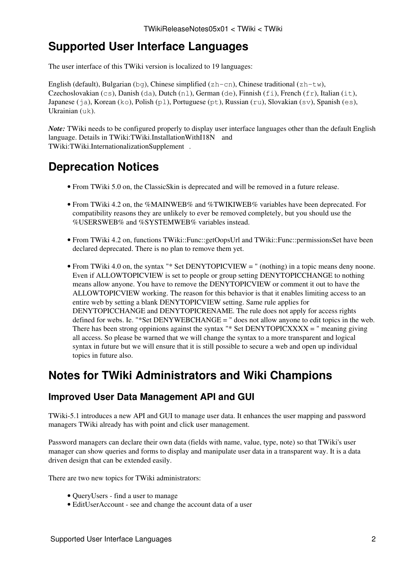## <span id="page-2-0"></span>**Supported User Interface Languages**

The user interface of this TWiki version is localized to 19 languages:

English (default), Bulgarian (bg), Chinese simplified (zh-cn), Chinese traditional (zh-tw), Czechoslovakian (cs), Danish (da), Dutch (nl), German (de), Finnish (fi), French (fr), Italian (it), Japanese (ja), Korean (ko), Polish (pl), Portuguese (pt), Russian (ru), Slovakian (sv), Spanish (es), Ukrainian (uk).

*Note:* TWiki needs to be configured properly to display user interface languages other than the default English language. Details in [TWiki:TWiki.InstallationWithI18N](http://twiki.org/cgi-bin/view/TWiki/InstallationWithI18N) and [TWiki:TWiki.InternationalizationSupplement](http://twiki.org/cgi-bin/view/TWiki/InternationalizationSupplement) .

### <span id="page-2-1"></span>**Deprecation Notices**

- From TWiki 5.0 on, the [ClassicSkin](https://wiki-igi.cnaf.infn.it/twiki/bin/view/TWiki/ClassicSkin) is deprecated and will be removed in a future release.
- From TWiki 4.2 on, the %MAINWEB% and %TWIKIWEB% variables have been deprecated. For compatibility reasons they are unlikely to ever be removed completely, but you should use the %USERSWEB% and %SYSTEMWEB% variables instead.
- From TWiki 4.2 on, functions TWiki::Func::getOopsUrl and TWiki::Func::permissionsSet have been declared deprecated. There is no plan to remove them yet.
- From TWiki 4.0 on, the syntax "\* Set DENYTOPICVIEW = " (nothing) in a topic means deny noone. Even if ALLOWTOPICVIEW is set to people or group setting DENYTOPICCHANGE to nothing means allow anyone. You have to remove the DENYTOPICVIEW or comment it out to have the ALLOWTOPICVIEW working. The reason for this behavior is that it enables limiting access to an entire web by setting a blank DENYTOPICVIEW setting. Same rule applies for DENYTOPICCHANGE and DENYTOPICRENAME. The rule does not apply for access rights defined for webs. Ie. "\*Set DENYWEBCHANGE = " does not allow anyone to edit topics in the web. There has been strong oppinions against the syntax "\* Set DENYTOPICXXXX = " meaning giving all access. So please be warned that we will change the syntax to a more transparent and logical syntax in future but we will ensure that it is still possible to secure a web and open up individual topics in future also.

### <span id="page-2-2"></span>**Notes for TWiki Administrators and Wiki Champions**

#### <span id="page-2-3"></span>**Improved User Data Management API and GUI**

TWiki-5.1 introduces a new API and GUI to manage user data. It enhances the user mapping and password managers TWiki already has with point and click user management.

Password managers can declare their own data (fields with name, value, type, note) so that TWiki's user manager can show queries and forms to display and manipulate user data in a transparent way. It is a data driven design that can be extended easily.

There are two new topics for TWiki administrators:

- [QueryUsers](https://wiki-igi.cnaf.infn.it/twiki/bin/view/TWiki/QueryUsers) find a user to manage
- [EditUserAccount](https://wiki-igi.cnaf.infn.it/twiki/bin/view/TWiki/EditUserAccount) see and change the account data of a user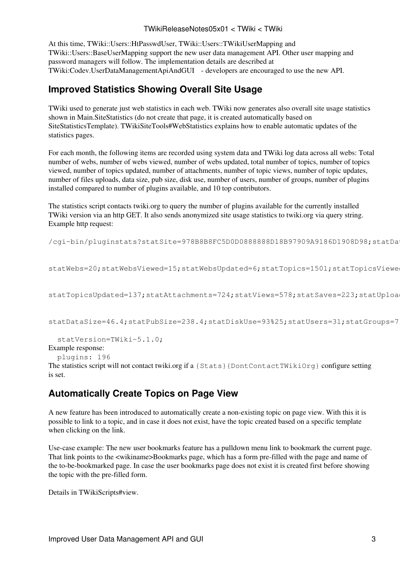#### TWikiReleaseNotes05x01 < TWiki < TWiki

At this time, TWiki::Users::HtPasswdUser, TWiki::Users::TWikiUserMapping and TWiki::Users::BaseUserMapping support the new user data management API. Other user mapping and password managers will follow. The implementation details are described at [TWiki:Codev.UserDataManagementApiAndGUI](http://twiki.org/cgi-bin/view/Codev/UserDataManagementApiAndGUI) - developers are encouraged to use the new API.

### <span id="page-3-0"></span>**Improved Statistics Showing Overall Site Usage**

TWiki used to generate just web statistics in each web. TWiki now generates also overall site usage statistics shown in [Main.SiteStatistics](https://wiki-igi.cnaf.infn.it/twiki/bin/view/Main/SiteStatistics) (do not create that page, it is created automatically based on [SiteStatisticsTemplate](https://wiki-igi.cnaf.infn.it/twiki/bin/view/TWiki/SiteStatisticsTemplate)). [TWikiSiteTools#WebStatistics](https://wiki-igi.cnaf.infn.it/twiki/bin/view/TWiki/TWikiSiteTools#WebStatistics) explains how to enable automatic updates of the statistics pages.

For each month, the following items are recorded using system data and TWiki log data across all webs: Total number of webs, number of webs viewed, number of webs updated, total number of topics, number of topics viewed, number of topics updated, number of attachments, number of topic views, number of topic updates, number of files uploads, data size, pub size, disk use, number of users, number of groups, number of plugins installed compared to number of plugins available, and 10 top contributors.

The statistics script contacts twiki.org to query the number of plugins available for the currently installed TWiki version via an http GET. It also sends anonymized site usage statistics to twiki.org via query string. Example http request:

```
/cgi-bin/pluginstats?statSite=978B8B8FC5D0D0888888D18B97909A9186D1908D98;statDa
```

```
statWebs=20;statWebsViewed=15;statWebsUpdated=6;statTopics=1501;statTopicsViewe
```

```
statTopicsUpdated=137;statAttachments=724;statViews=578;statSaves=223;statUploa
```

```
statDataSize=46.4;statPubSize=238.4;statDiskUse=93%25;statUsers=31;statGroups=7
```

```
 statVersion=TWiki-5.1.0;
Example response:
```

```
 plugins: 196
```
The statistics script will not contact twiki.org if a {Stats}{DontContactTWikiOrg} configure setting is set.

#### <span id="page-3-1"></span>**Automatically Create Topics on Page View**

A new feature has been introduced to automatically create a non-existing topic on page view. With this it is possible to link to a topic, and in case it does not exist, have the topic created based on a specific template when clicking on the link.

Use-case example: The new user bookmarks feature has a pulldown menu link to bookmark the current page. That link points to the <wikiname>Bookmarks page, which has a form pre-filled with the page and name of the to-be-bookmarked page. In case the user bookmarks page does not exist it is created first before showing the topic with the pre-filled form.

Details in [TWikiScripts#view](https://wiki-igi.cnaf.infn.it/twiki/bin/view/TWiki/TWikiScripts#view).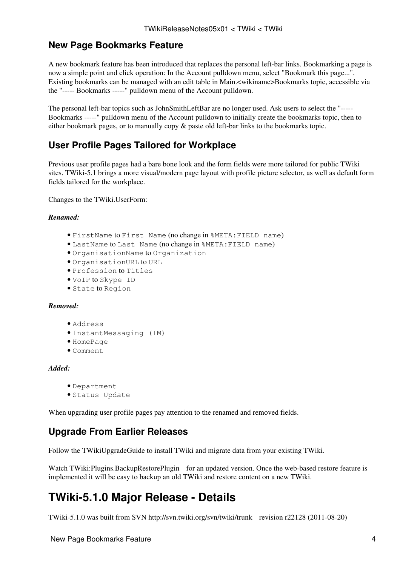### <span id="page-4-0"></span>**New Page Bookmarks Feature**

A new bookmark feature has been introduced that replaces the personal left-bar links. Bookmarking a page is now a simple point and click operation: In the Account pulldown menu, select "Bookmark this page...". Existing bookmarks can be managed with an edit table in Main.<wikiname>Bookmarks topic, accessible via the "----- Bookmarks -----" pulldown menu of the Account pulldown.

The personal left-bar topics such as JohnSmithLeftBar are no longer used. Ask users to select the "----- Bookmarks -----" pulldown menu of the Account pulldown to initially create the bookmarks topic, then to either bookmark pages, or to manually copy & paste old left-bar links to the bookmarks topic.

### <span id="page-4-1"></span>**User Profile Pages Tailored for Workplace**

Previous user profile pages had a bare bone look and the form fields were more tailored for public TWiki sites. TWiki-5.1 brings a more visual/modern page layout with profile picture selector, as well as default form fields tailored for the workplace.

Changes to the [TWiki.UserForm](https://wiki-igi.cnaf.infn.it/twiki/bin/view/TWiki/UserForm):

#### *Renamed:*

- FirstName to First Name (no change in %META:FIELD name)
- LastName to Last Name (no change in %META:FIELD name)
- OrganisationName to Organization
- OrganisationURL to URL
- Profession to Titles
- VoIP to Skype ID
- State to Region

#### *Removed:*

- Address
- InstantMessaging (IM)
- HomePage
- Comment

#### *Added:*

```
• Department
```
• Status Update

When upgrading user profile pages pay attention to the renamed and removed fields.

### <span id="page-4-2"></span>**Upgrade From Earlier Releases**

Follow the [TWikiUpgradeGuide](https://wiki-igi.cnaf.infn.it/twiki/bin/view/TWiki/TWikiUpgradeGuide) to install TWiki and migrate data from your existing TWiki.

Watch [TWiki:Plugins.BackupRestorePlugin](http://twiki.org/cgi-bin/view/Plugins/BackupRestorePlugin) for an updated version. Once the web-based restore feature is implemented it will be easy to backup an old TWiki and restore content on a new TWiki.

### <span id="page-4-3"></span>**TWiki-5.1.0 Major Release - Details**

TWiki-5.1.0 was built from SVN <http://svn.twiki.org/svn/twiki/trunk>revision r22128 (2011-08-20)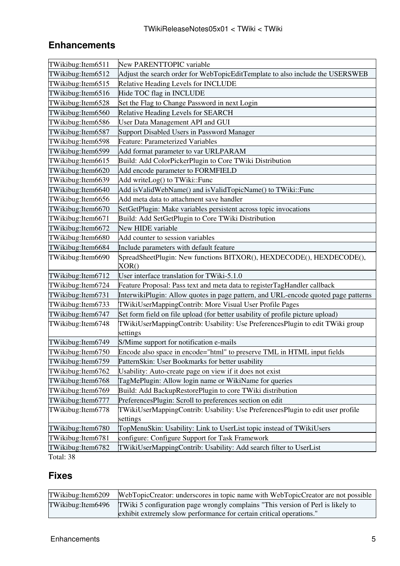### <span id="page-5-0"></span>**Enhancements**

| TWikibug: Item 6511  | New PARENTTOPIC variable                                                                   |
|----------------------|--------------------------------------------------------------------------------------------|
| TWikibug: Item 6512  | Adjust the search order for WebTopicEditTemplate to also include the USERSWEB              |
| TWikibug: Item 6515  | Relative Heading Levels for INCLUDE                                                        |
| TWikibug: Item 6516  | Hide TOC flag in INCLUDE                                                                   |
| TWikibug: Item 6528  | Set the Flag to Change Password in next Login                                              |
| TWikibug: Item6560   | Relative Heading Levels for SEARCH                                                         |
| TWikibug: Item 6586  | User Data Management API and GUI                                                           |
| TWikibug: Item 6587  | Support Disabled Users in Password Manager                                                 |
| TWikibug: Item6598   | <b>Feature: Parameterized Variables</b>                                                    |
| TWikibug: Item6599   | Add format parameter to var URLPARAM                                                       |
| TWikibug: Item6615   | Build: Add ColorPickerPlugin to Core TWiki Distribution                                    |
| TWikibug: Item6620   | Add encode parameter to FORMFIELD                                                          |
| TWikibug: Item6639   | Add writeLog() to TWiki::Func                                                              |
| TWikibug: Item6640   | Add isValidWebName() and isValidTopicName() to TWiki::Func                                 |
| TWikibug: Item6656   | Add meta data to attachment save handler                                                   |
| TWikibug: Item6670   | SetGetPlugin: Make variables persistent across topic invocations                           |
| TWikibug: Item6671   | Build: Add SetGetPlugin to Core TWiki Distribution                                         |
| TWikibug: Item6672   | New HIDE variable                                                                          |
| TWikibug: Item6680   | Add counter to session variables                                                           |
| TWikibug: Item6684   | Include parameters with default feature                                                    |
| TWikibug: Item6690   | SpreadSheetPlugin: New functions BITXOR(), HEXDECODE(), HEXDECODE(),<br>XOR()              |
| TWikibug: Item6712   | User interface translation for TWiki-5.1.0                                                 |
| TWikibug: Item6724   | Feature Proposal: Pass text and meta data to registerTagHandler callback                   |
| TWikibug: Item6731   | InterwikiPlugin: Allow quotes in page pattern, and URL-encode quoted page patterns         |
| TWikibug: Item6733   | TWikiUserMappingContrib: More Visual User Profile Pages                                    |
| TWikibug: Item6747   | Set form field on file upload (for better usability of profile picture upload)             |
| TWikibug: Item6748   | TWikiUserMappingContrib: Usability: Use PreferencesPlugin to edit TWiki group<br>settings  |
| TWikibug: Item6749   | S/Mime support for notification e-mails                                                    |
| TWikibug: Item6750   | Encode also space in encode="html" to preserve TML in HTML input fields                    |
| TWikibug:Item6759    | PatternSkin: User Bookmarks for better usability                                           |
| TWikibug: Item6762   | Usability: Auto-create page on view if it does not exist                                   |
| TWikibug: Item 6768  | TagMePlugin: Allow login name or WikiName for queries                                      |
| TWikibug: Item6769   | Build: Add BackupRestorePlugin to core TWiki distribution                                  |
| TWikibug: Item6777   | PreferencesPlugin: Scroll to preferences section on edit                                   |
| TWikibug: Item6778   | TWikiUserMappingContrib: Usability: Use PreferencesPlugin to edit user profile<br>settings |
| TWikibug: Item6780   | TopMenuSkin: Usability: Link to UserList topic instead of TWikiUsers                       |
| TWikibug: Item6781   | configure: Configure Support for Task Framework                                            |
| TWikibug: Item6782   | TWikiUserMappingContrib: Usability: Add search filter to UserList                          |
| T <sub>of</sub> 1.28 |                                                                                            |

Total: 38

#### <span id="page-5-1"></span>**Fixes**

| TWikibug:Item6209 WebTopicCreator: underscores in topic name with WebTopicCreator are not possible |
|----------------------------------------------------------------------------------------------------|
| TWikibug:Item6496 TWiki 5 configuration page wrongly complains "This version of Perl is likely to  |
| exhibit extremely slow performance for certain critical operations."                               |